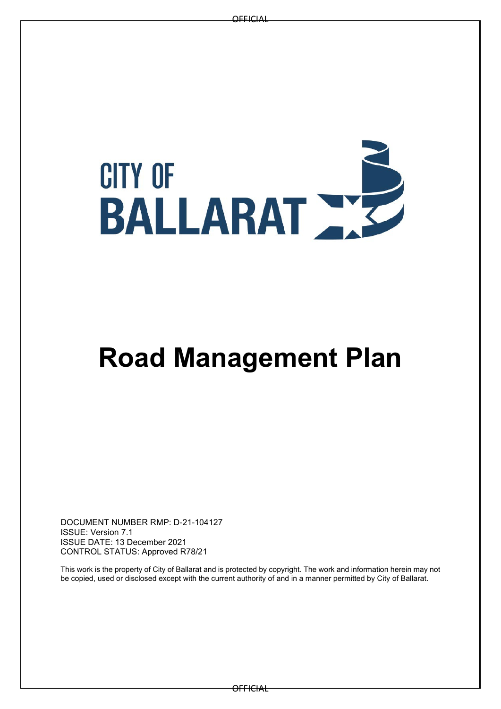# **CITY OF BALLARAT AZ**

# **Road Management Plan**

DOCUMENT NUMBER RMP: D-21-104127 ISSUE: Version 7.1 ISSUE DATE: 13 December 2021 CONTROL STATUS: Approved R78/21

This work is the property of City of Ballarat and is protected by copyright. The work and information herein may not be copied, used or disclosed except with the current authority of and in a manner permitted by City of Ballarat.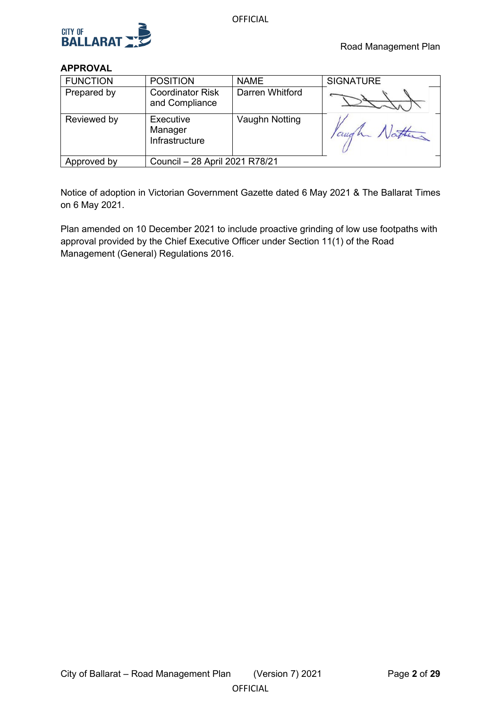

# **APPROVAL**

| <b>FUNCTION</b> | <b>POSITION</b>                           | <b>NAME</b>     | <b>SIGNATURE</b> |  |  |  |
|-----------------|-------------------------------------------|-----------------|------------------|--|--|--|
| Prepared by     | <b>Coordinator Risk</b><br>and Compliance | Darren Whitford |                  |  |  |  |
| Reviewed by     | Executive<br>Manager<br>Infrastructure    | Vaughn Notting  | Paugh Nathan     |  |  |  |
| Approved by     | Council - 28 April 2021 R78/21            |                 |                  |  |  |  |

Notice of adoption in Victorian Government Gazette dated 6 May 2021 & The Ballarat Times on 6 May 2021.

Plan amended on 10 December 2021 to include proactive grinding of low use footpaths with approval provided by the Chief Executive Officer under Section 11(1) of the Road Management (General) Regulations 2016.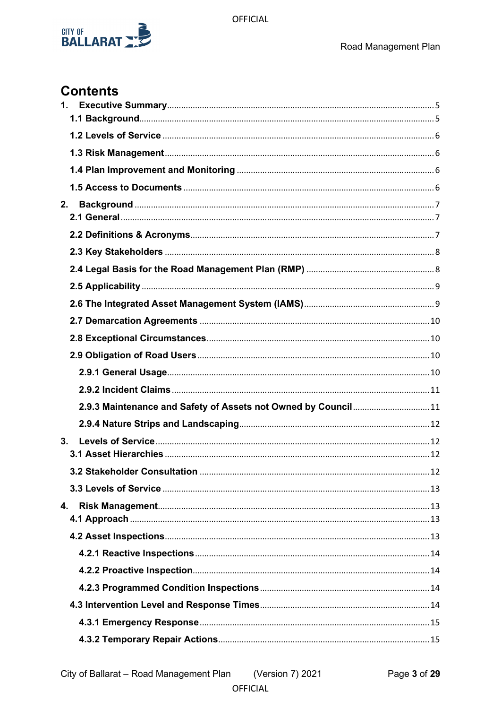

# **Contents**

| 1. |                                                                |  |
|----|----------------------------------------------------------------|--|
|    |                                                                |  |
|    |                                                                |  |
|    |                                                                |  |
|    |                                                                |  |
| 2. |                                                                |  |
|    |                                                                |  |
|    |                                                                |  |
|    |                                                                |  |
|    |                                                                |  |
|    |                                                                |  |
|    |                                                                |  |
|    |                                                                |  |
|    |                                                                |  |
|    |                                                                |  |
|    |                                                                |  |
|    |                                                                |  |
|    | 2.9.3 Maintenance and Safety of Assets not Owned by Council 11 |  |
|    |                                                                |  |
| 3. |                                                                |  |
|    |                                                                |  |
|    |                                                                |  |
|    |                                                                |  |
| 4. |                                                                |  |
|    |                                                                |  |
|    |                                                                |  |
|    |                                                                |  |
|    |                                                                |  |
|    |                                                                |  |
|    |                                                                |  |
|    |                                                                |  |
|    |                                                                |  |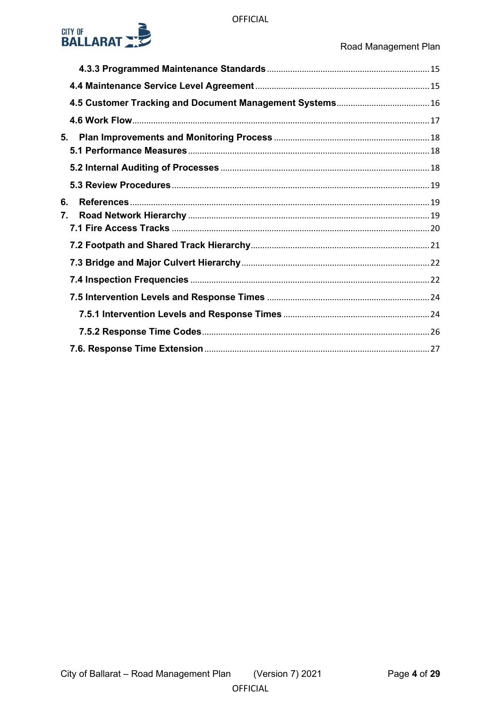

| 5.       |  |
|----------|--|
|          |  |
|          |  |
| 6.<br>7. |  |
|          |  |
|          |  |
|          |  |
|          |  |
|          |  |
|          |  |
|          |  |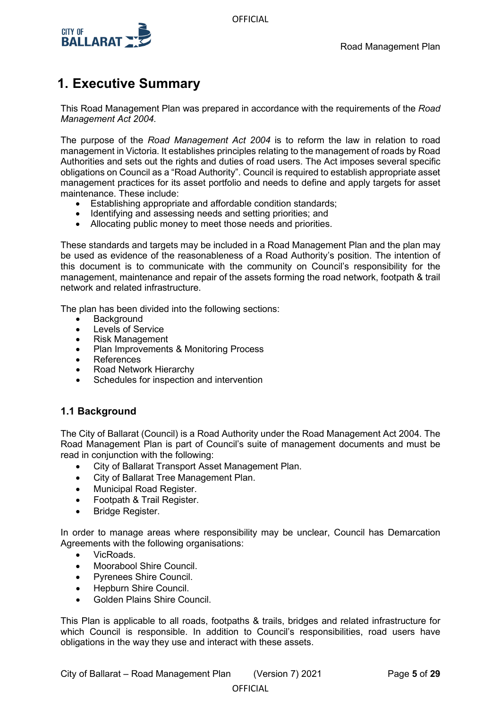

# <span id="page-4-0"></span>**1. Executive Summary**

This Road Management Plan was prepared in accordance with the requirements of the *Road Management Act 2004.*

The purpose of the *Road Management Act 2004* is to reform the law in relation to road management in Victoria. It establishes principles relating to the management of roads by Road Authorities and sets out the rights and duties of road users. The Act imposes several specific obligations on Council as a "Road Authority". Council is required to establish appropriate asset management practices for its asset portfolio and needs to define and apply targets for asset maintenance. These include:

- Establishing appropriate and affordable condition standards;
- Identifying and assessing needs and setting priorities; and
- Allocating public money to meet those needs and priorities.

These standards and targets may be included in a Road Management Plan and the plan may be used as evidence of the reasonableness of a Road Authority's position. The intention of this document is to communicate with the community on Council's responsibility for the management, maintenance and repair of the assets forming the road network, footpath & trail network and related infrastructure.

The plan has been divided into the following sections:

- **Background**
- Levels of Service
- Risk Management
- Plan Improvements & Monitoring Process
- References
- Road Network Hierarchy
- Schedules for inspection and intervention

# <span id="page-4-1"></span>**1.1 Background**

The City of Ballarat (Council) is a Road Authority under the Road Management Act 2004. The Road Management Plan is part of Council's suite of management documents and must be read in conjunction with the following:

- City of Ballarat Transport Asset Management Plan.
- City of Ballarat Tree Management Plan.
- Municipal Road Register.
- Footpath & Trail Register.
- Bridge Register.

In order to manage areas where responsibility may be unclear, Council has Demarcation Agreements with the following organisations:

- VicRoads.
- Moorabool Shire Council.
- Pyrenees Shire Council.
- Hepburn Shire Council.
- Golden Plains Shire Council.

This Plan is applicable to all roads, footpaths & trails, bridges and related infrastructure for which Council is responsible. In addition to Council's responsibilities, road users have obligations in the way they use and interact with these assets.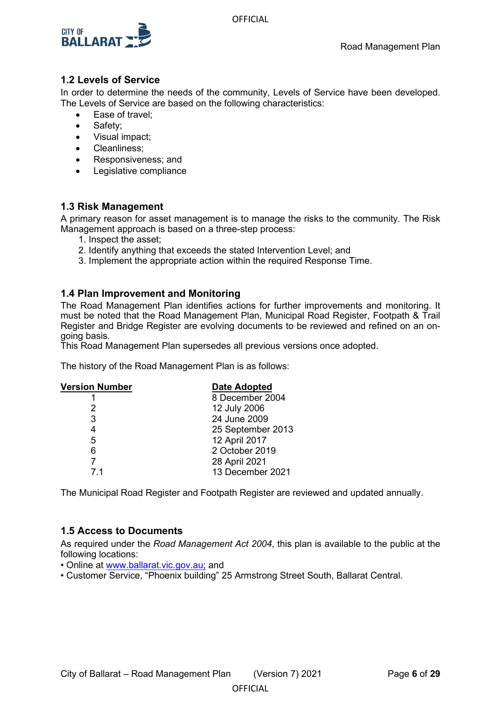



# <span id="page-5-0"></span>**1.2 Levels of Service**

In order to determine the needs of the community, Levels of Service have been developed. The Levels of Service are based on the following characteristics:

- Ease of travel;
- Safety;
- Visual impact;
- Cleanliness;
- Responsiveness; and
- Legislative compliance

# <span id="page-5-1"></span>**1.3 Risk Management**

A primary reason for asset management is to manage the risks to the community. The Risk Management approach is based on a three-step process:

- 1. Inspect the asset;
- 2. Identify anything that exceeds the stated Intervention Level; and
- 3. Implement the appropriate action within the required Response Time.

# <span id="page-5-2"></span>**1.4 Plan Improvement and Monitoring**

The Road Management Plan identifies actions for further improvements and monitoring. It must be noted that the Road Management Plan, Municipal Road Register, Footpath & Trail Register and Bridge Register are evolving documents to be reviewed and refined on an ongoing basis.

This Road Management Plan supersedes all previous versions once adopted.

The history of the Road Management Plan is as follows:

| <b>Version Number</b> | Date Adopted      |
|-----------------------|-------------------|
|                       | 8 December 2004   |
| 2                     | 12 July 2006      |
| 3                     | 24 June 2009      |
| 4                     | 25 September 2013 |
| 5                     | 12 April 2017     |
| 6                     | 2 October 2019    |
|                       | 28 April 2021     |
| 71                    | 13 December 2021  |
|                       |                   |

The Municipal Road Register and Footpath Register are reviewed and updated annually.

# <span id="page-5-3"></span>**1.5 Access to Documents**

As required under the *Road Management Act 2004*, this plan is available to the public at the following locations:

**OFFICIAL** 

• Online at [www.ballarat.vic.gov.au;](file://ballarat.vic.gov.au/files/Governance%20&%20Information%20Services%20Division/Legal%20&%20Insurance/Insurance/Temporary%20files/www.ballarat.vic.gov.au;) and

• Customer Service, "Phoenix building" 25 Armstrong Street South, Ballarat Central.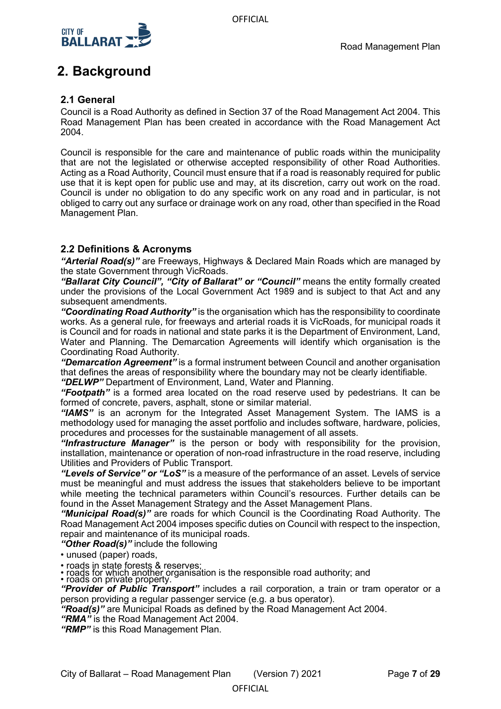

# <span id="page-6-0"></span>**2. Background**

# <span id="page-6-1"></span>**2.1 General**

Council is a Road Authority as defined in Section 37 of the Road Management Act 2004. This Road Management Plan has been created in accordance with the Road Management Act 2004.

Council is responsible for the care and maintenance of public roads within the municipality that are not the legislated or otherwise accepted responsibility of other Road Authorities. Acting as a Road Authority, Council must ensure that if a road is reasonably required for public use that it is kept open for public use and may, at its discretion, carry out work on the road. Council is under no obligation to do any specific work on any road and in particular, is not obliged to carry out any surface or drainage work on any road, other than specified in the Road Management Plan.

# <span id="page-6-2"></span>**2.2 Definitions & Acronyms**

*"Arterial Road(s)"* are Freeways, Highways & Declared Main Roads which are managed by the state Government through VicRoads.

*"Ballarat City Council", "City of Ballarat" or "Council"* means the entity formally created under the provisions of the Local Government Act 1989 and is subject to that Act and any subsequent amendments.

*"Coordinating Road Authority"* is the organisation which has the responsibility to coordinate works. As a general rule, for freeways and arterial roads it is VicRoads, for municipal roads it is Council and for roads in national and state parks it is the Department of Environment, Land, Water and Planning. The Demarcation Agreements will identify which organisation is the Coordinating Road Authority.

*"Demarcation Agreement"* is a formal instrument between Council and another organisation that defines the areas of responsibility where the boundary may not be clearly identifiable.

*"DELWP"* Department of Environment, Land, Water and Planning.

*"Footpath"* is a formed area located on the road reserve used by pedestrians. It can be formed of concrete, pavers, asphalt, stone or similar material.

*"IAMS"* is an acronym for the Integrated Asset Management System. The IAMS is a methodology used for managing the asset portfolio and includes software, hardware, policies, procedures and processes for the sustainable management of all assets.

*"Infrastructure Manager"* is the person or body with responsibility for the provision, installation, maintenance or operation of non-road infrastructure in the road reserve, including Utilities and Providers of Public Transport.

*"Levels of Service" or "LoS"* is a measure of the performance of an asset. Levels of service must be meaningful and must address the issues that stakeholders believe to be important while meeting the technical parameters within Council's resources. Further details can be found in the Asset Management Strategy and the Asset Management Plans.

*"Municipal Road(s)"* are roads for which Council is the Coordinating Road Authority. The Road Management Act 2004 imposes specific duties on Council with respect to the inspection, repair and maintenance of its municipal roads.

*"Other Road(s)"* include the following

• unused (paper) roads,

• roads in state forests & reserves;

• roads for which another organisation is the responsible road authority; and • roads on private property.

*"Provider of Public Transport"* includes a rail corporation, a train or tram operator or a person providing a regular passenger service (e.g. a bus operator).

*"Road(s)"* are Municipal Roads as defined by the Road Management Act 2004.

*"RMA"* is the Road Management Act 2004.

*"RMP"* is this Road Management Plan.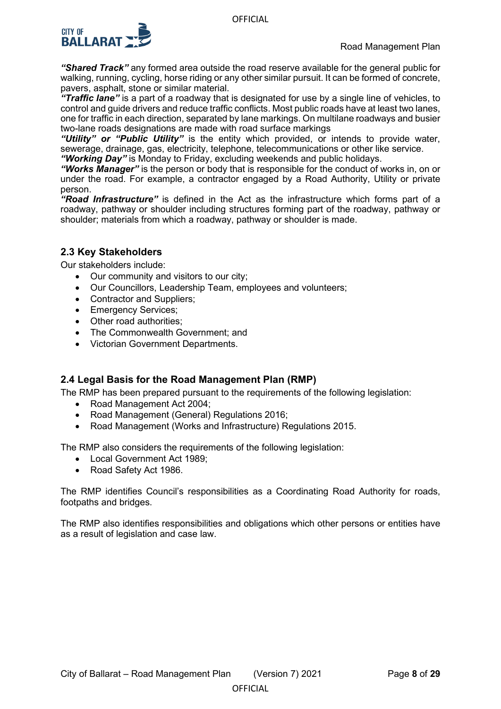

*"Shared Track"* any formed area outside the road reserve available for the general public for walking, running, cycling, horse riding or any other similar pursuit. It can be formed of concrete, pavers, asphalt, stone or similar material.

*"Traffic lane"* is a part of a roadway that is designated for use by a single line of vehicles, to control and guide drivers and reduce traffic conflicts. Most public roads have at least two lanes, one for traffic in each direction, separated by lane markings. On multilane roadways and busier two-lane roads designations are made with road surface markings

*"Utility" or "Public Utility"* is the entity which provided, or intends to provide water, sewerage, drainage, gas, electricity, telephone, telecommunications or other like service. *"Working Day"* is Monday to Friday, excluding weekends and public holidays.

*"Works Manager"* is the person or body that is responsible for the conduct of works in, on or under the road. For example, a contractor engaged by a Road Authority, Utility or private person.

*"Road Infrastructure"* is defined in the Act as the infrastructure which forms part of a roadway, pathway or shoulder including structures forming part of the roadway, pathway or shoulder; materials from which a roadway, pathway or shoulder is made.

# <span id="page-7-0"></span>**2.3 Key Stakeholders**

Our stakeholders include:

- Our community and visitors to our city;
- Our Councillors, Leadership Team, employees and volunteers;
- Contractor and Suppliers;
- Emergency Services:
- Other road authorities:
- The Commonwealth Government; and
- Victorian Government Departments.

# <span id="page-7-1"></span>**2.4 Legal Basis for the Road Management Plan (RMP)**

The RMP has been prepared pursuant to the requirements of the following legislation:

- Road Management Act 2004;
- Road Management (General) Regulations 2016;
- Road Management (Works and Infrastructure) Regulations 2015.

The RMP also considers the requirements of the following legislation:

- Local Government Act 1989;
- Road Safety Act 1986.

The RMP identifies Council's responsibilities as a Coordinating Road Authority for roads, footpaths and bridges.

The RMP also identifies responsibilities and obligations which other persons or entities have as a result of legislation and case law.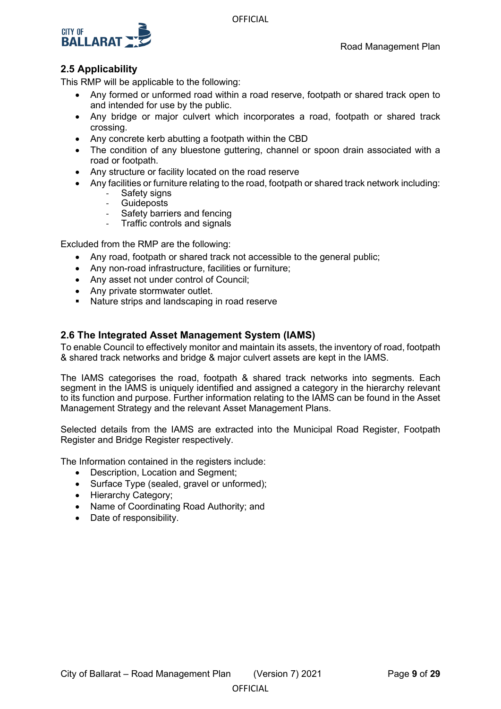



# <span id="page-8-0"></span>**2.5 Applicability**

This RMP will be applicable to the following:

- Any formed or unformed road within a road reserve, footpath or shared track open to and intended for use by the public.
- Any bridge or major culvert which incorporates a road, footpath or shared track crossing.
- Any concrete kerb abutting a footpath within the CBD
- The condition of any bluestone guttering, channel or spoon drain associated with a road or footpath.
- Any structure or facility located on the road reserve
- Any facilities or furniture relating to the road, footpath or shared track network including:
	- Safety signs
	- **Guideposts**
	- Safety barriers and fencing
	- Traffic controls and signals

Excluded from the RMP are the following:

- Any road, footpath or shared track not accessible to the general public;
- Any non-road infrastructure, facilities or furniture;
- Any asset not under control of Council;
- Any private stormwater outlet.
- **Nature strips and landscaping in road reserve**

# <span id="page-8-1"></span>**2.6 The Integrated Asset Management System (IAMS)**

To enable Council to effectively monitor and maintain its assets, the inventory of road, footpath & shared track networks and bridge & major culvert assets are kept in the IAMS.

The IAMS categorises the road, footpath & shared track networks into segments. Each segment in the IAMS is uniquely identified and assigned a category in the hierarchy relevant to its function and purpose. Further information relating to the IAMS can be found in the Asset Management Strategy and the relevant Asset Management Plans.

Selected details from the IAMS are extracted into the Municipal Road Register, Footpath Register and Bridge Register respectively.

The Information contained in the registers include:

- Description, Location and Segment;
- Surface Type (sealed, gravel or unformed);
- Hierarchy Category;
- Name of Coordinating Road Authority; and
- Date of responsibility.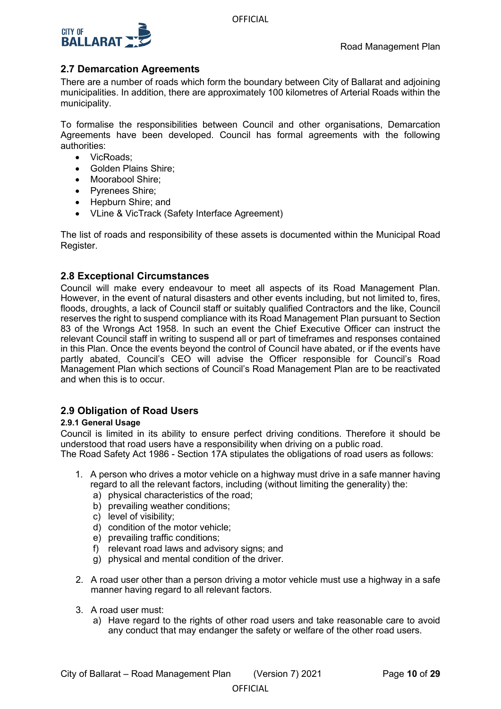

# <span id="page-9-0"></span>**2.7 Demarcation Agreements**

There are a number of roads which form the boundary between City of Ballarat and adjoining municipalities. In addition, there are approximately 100 kilometres of Arterial Roads within the municipality.

To formalise the responsibilities between Council and other organisations, Demarcation Agreements have been developed. Council has formal agreements with the following authorities:

- VicRoads:
- Golden Plains Shire;
- Moorabool Shire;
- Pyrenees Shire;
- Hepburn Shire: and
- VLine & VicTrack (Safety Interface Agreement)

The list of roads and responsibility of these assets is documented within the Municipal Road Register.

# <span id="page-9-1"></span>**2.8 Exceptional Circumstances**

Council will make every endeavour to meet all aspects of its Road Management Plan. However, in the event of natural disasters and other events including, but not limited to, fires, floods, droughts, a lack of Council staff or suitably qualified Contractors and the like, Council reserves the right to suspend compliance with its Road Management Plan pursuant to Section 83 of the Wrongs Act 1958. In such an event the Chief Executive Officer can instruct the relevant Council staff in writing to suspend all or part of timeframes and responses contained in this Plan. Once the events beyond the control of Council have abated, or if the events have partly abated, Council's CEO will advise the Officer responsible for Council's Road Management Plan which sections of Council's Road Management Plan are to be reactivated and when this is to occur.

# <span id="page-9-2"></span>**2.9 Obligation of Road Users**

### <span id="page-9-3"></span>**2.9.1 General Usage**

Council is limited in its ability to ensure perfect driving conditions. Therefore it should be understood that road users have a responsibility when driving on a public road.

The Road Safety Act 1986 - Section 17A stipulates the obligations of road users as follows:

- 1. A person who drives a motor vehicle on a highway must drive in a safe manner having regard to all the relevant factors, including (without limiting the generality) the:
	- a) physical characteristics of the road;
	- b) prevailing weather conditions;
	- c) level of visibility;
	- d) condition of the motor vehicle;
	- e) prevailing traffic conditions;
	- f) relevant road laws and advisory signs; and
	- g) physical and mental condition of the driver.
- 2. A road user other than a person driving a motor vehicle must use a highway in a safe manner having regard to all relevant factors.
- 3. A road user must:
	- a) Have regard to the rights of other road users and take reasonable care to avoid any conduct that may endanger the safety or welfare of the other road users.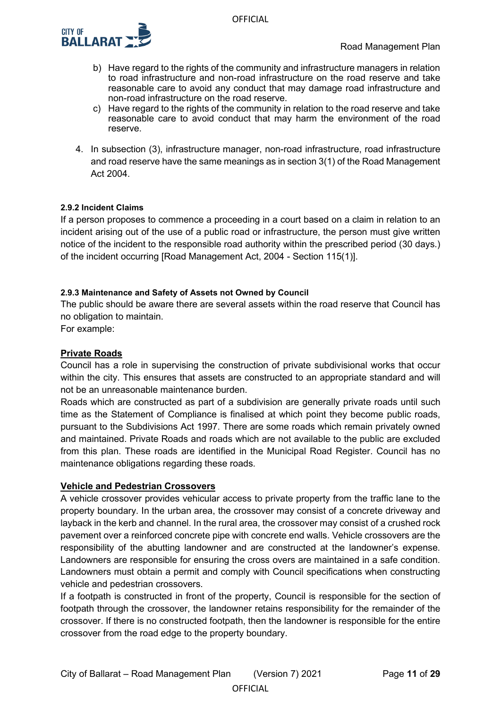

- b) Have regard to the rights of the community and infrastructure managers in relation to road infrastructure and non-road infrastructure on the road reserve and take reasonable care to avoid any conduct that may damage road infrastructure and non-road infrastructure on the road reserve.
- c) Have regard to the rights of the community in relation to the road reserve and take reasonable care to avoid conduct that may harm the environment of the road reserve.
- 4. In subsection (3), infrastructure manager, non-road infrastructure, road infrastructure and road reserve have the same meanings as in section 3(1) of the Road Management Act 2004.

### <span id="page-10-0"></span>**2.9.2 Incident Claims**

If a person proposes to commence a proceeding in a court based on a claim in relation to an incident arising out of the use of a public road or infrastructure, the person must give written notice of the incident to the responsible road authority within the prescribed period (30 days.) of the incident occurring [Road Management Act, 2004 - Section 115(1)].

### <span id="page-10-1"></span>**2.9.3 Maintenance and Safety of Assets not Owned by Council**

The public should be aware there are several assets within the road reserve that Council has no obligation to maintain.

For example:

### **Private Roads**

Council has a role in supervising the construction of private subdivisional works that occur within the city. This ensures that assets are constructed to an appropriate standard and will not be an unreasonable maintenance burden.

Roads which are constructed as part of a subdivision are generally private roads until such time as the Statement of Compliance is finalised at which point they become public roads, pursuant to the Subdivisions Act 1997. There are some roads which remain privately owned and maintained. Private Roads and roads which are not available to the public are excluded from this plan. These roads are identified in the Municipal Road Register. Council has no maintenance obligations regarding these roads.

### **Vehicle and Pedestrian Crossovers**

A vehicle crossover provides vehicular access to private property from the traffic lane to the property boundary. In the urban area, the crossover may consist of a concrete driveway and layback in the kerb and channel. In the rural area, the crossover may consist of a crushed rock pavement over a reinforced concrete pipe with concrete end walls. Vehicle crossovers are the responsibility of the abutting landowner and are constructed at the landowner's expense. Landowners are responsible for ensuring the cross overs are maintained in a safe condition. Landowners must obtain a permit and comply with Council specifications when constructing vehicle and pedestrian crossovers.

If a footpath is constructed in front of the property, Council is responsible for the section of footpath through the crossover, the landowner retains responsibility for the remainder of the crossover. If there is no constructed footpath, then the landowner is responsible for the entire crossover from the road edge to the property boundary.

**OFFICIAL**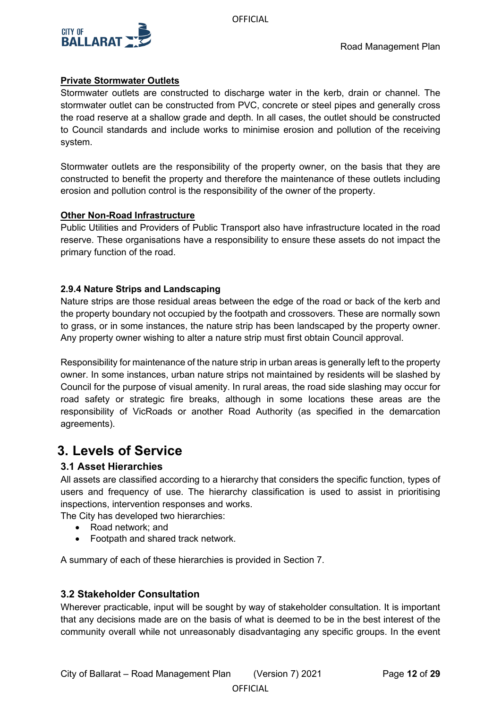

# **Private Stormwater Outlets**

Stormwater outlets are constructed to discharge water in the kerb, drain or channel. The stormwater outlet can be constructed from PVC, concrete or steel pipes and generally cross the road reserve at a shallow grade and depth. In all cases, the outlet should be constructed to Council standards and include works to minimise erosion and pollution of the receiving system.

Stormwater outlets are the responsibility of the property owner, on the basis that they are constructed to benefit the property and therefore the maintenance of these outlets including erosion and pollution control is the responsibility of the owner of the property.

# **Other Non-Road Infrastructure**

Public Utilities and Providers of Public Transport also have infrastructure located in the road reserve. These organisations have a responsibility to ensure these assets do not impact the primary function of the road.

# <span id="page-11-0"></span>**2.9.4 Nature Strips and Landscaping**

Nature strips are those residual areas between the edge of the road or back of the kerb and the property boundary not occupied by the footpath and crossovers. These are normally sown to grass, or in some instances, the nature strip has been landscaped by the property owner. Any property owner wishing to alter a nature strip must first obtain Council approval.

Responsibility for maintenance of the nature strip in urban areas is generally left to the property owner. In some instances, urban nature strips not maintained by residents will be slashed by Council for the purpose of visual amenity. In rural areas, the road side slashing may occur for road safety or strategic fire breaks, although in some locations these areas are the responsibility of VicRoads or another Road Authority (as specified in the demarcation agreements).

# <span id="page-11-1"></span>**3. Levels of Service**

# <span id="page-11-2"></span>**3.1 Asset Hierarchies**

All assets are classified according to a hierarchy that considers the specific function, types of users and frequency of use. The hierarchy classification is used to assist in prioritising inspections, intervention responses and works.

The City has developed two hierarchies:

- Road network; and
- Footpath and shared track network.

A summary of each of these hierarchies is provided in Section 7.

# <span id="page-11-3"></span>**3.2 Stakeholder Consultation**

Wherever practicable, input will be sought by way of stakeholder consultation. It is important that any decisions made are on the basis of what is deemed to be in the best interest of the community overall while not unreasonably disadvantaging any specific groups. In the event

**OFFICIAL**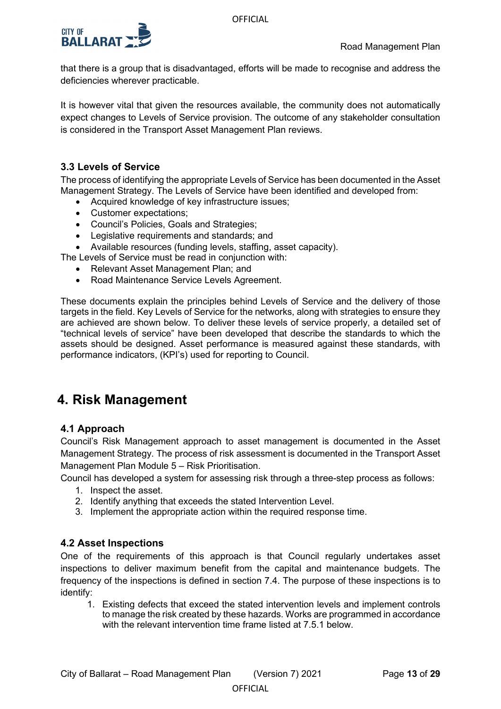

that there is a group that is disadvantaged, efforts will be made to recognise and address the deficiencies wherever practicable.

It is however vital that given the resources available, the community does not automatically expect changes to Levels of Service provision. The outcome of any stakeholder consultation is considered in the Transport Asset Management Plan reviews.

# <span id="page-12-0"></span>**3.3 Levels of Service**

The process of identifying the appropriate Levels of Service has been documented in the Asset Management Strategy. The Levels of Service have been identified and developed from:

- Acquired knowledge of key infrastructure issues;
- Customer expectations;
- Council's Policies, Goals and Strategies;
- Legislative requirements and standards; and
- Available resources (funding levels, staffing, asset capacity).

The Levels of Service must be read in conjunction with:

- Relevant Asset Management Plan; and
- Road Maintenance Service Levels Agreement.

These documents explain the principles behind Levels of Service and the delivery of those targets in the field. Key Levels of Service for the networks, along with strategies to ensure they are achieved are shown below. To deliver these levels of service properly, a detailed set of "technical levels of service" have been developed that describe the standards to which the assets should be designed. Asset performance is measured against these standards, with performance indicators, (KPI's) used for reporting to Council.

# <span id="page-12-1"></span>**4. Risk Management**

# <span id="page-12-2"></span>**4.1 Approach**

Council's Risk Management approach to asset management is documented in the Asset Management Strategy. The process of risk assessment is documented in the Transport Asset Management Plan Module 5 – Risk Prioritisation.

Council has developed a system for assessing risk through a three-step process as follows:

- 1. Inspect the asset.
- 2. Identify anything that exceeds the stated Intervention Level.
- 3. Implement the appropriate action within the required response time.

# <span id="page-12-3"></span>**4.2 Asset Inspections**

One of the requirements of this approach is that Council regularly undertakes asset inspections to deliver maximum benefit from the capital and maintenance budgets. The frequency of the inspections is defined in section 7.4. The purpose of these inspections is to identify:

**OFFICIAL** 

1. Existing defects that exceed the stated intervention levels and implement controls to manage the risk created by these hazards. Works are programmed in accordance with the relevant intervention time frame listed at 7.5.1 below.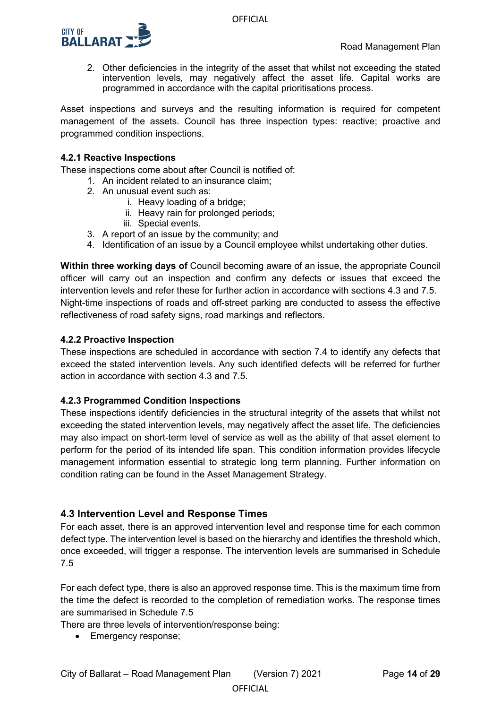

2. Other deficiencies in the integrity of the asset that whilst not exceeding the stated intervention levels, may negatively affect the asset life. Capital works are programmed in accordance with the capital prioritisations process.

Asset inspections and surveys and the resulting information is required for competent management of the assets. Council has three inspection types: reactive; proactive and programmed condition inspections.

### <span id="page-13-0"></span>**4.2.1 Reactive Inspections**

These inspections come about after Council is notified of:

- 1. An incident related to an insurance claim;
- 2. An unusual event such as:
	- i. Heavy loading of a bridge;
	- ii. Heavy rain for prolonged periods;
	- iii. Special events.
- 3. A report of an issue by the community; and
- 4. Identification of an issue by a Council employee whilst undertaking other duties.

**Within three working days of** Council becoming aware of an issue, the appropriate Council officer will carry out an inspection and confirm any defects or issues that exceed the intervention levels and refer these for further action in accordance with sections 4.3 and 7.5. Night-time inspections of roads and off-street parking are conducted to assess the effective reflectiveness of road safety signs, road markings and reflectors.

### <span id="page-13-1"></span>**4.2.2 Proactive Inspection**

These inspections are scheduled in accordance with section 7.4 to identify any defects that exceed the stated intervention levels. Any such identified defects will be referred for further action in accordance with section 4.3 and 7.5.

### <span id="page-13-2"></span>**4.2.3 Programmed Condition Inspections**

These inspections identify deficiencies in the structural integrity of the assets that whilst not exceeding the stated intervention levels, may negatively affect the asset life. The deficiencies may also impact on short-term level of service as well as the ability of that asset element to perform for the period of its intended life span. This condition information provides lifecycle management information essential to strategic long term planning. Further information on condition rating can be found in the Asset Management Strategy.

# <span id="page-13-3"></span>**4.3 Intervention Level and Response Times**

For each asset, there is an approved intervention level and response time for each common defect type. The intervention level is based on the hierarchy and identifies the threshold which, once exceeded, will trigger a response. The intervention levels are summarised in Schedule 7.5

For each defect type, there is also an approved response time. This is the maximum time from the time the defect is recorded to the completion of remediation works. The response times are summarised in Schedule 7.5

There are three levels of intervention/response being:

• Emergency response;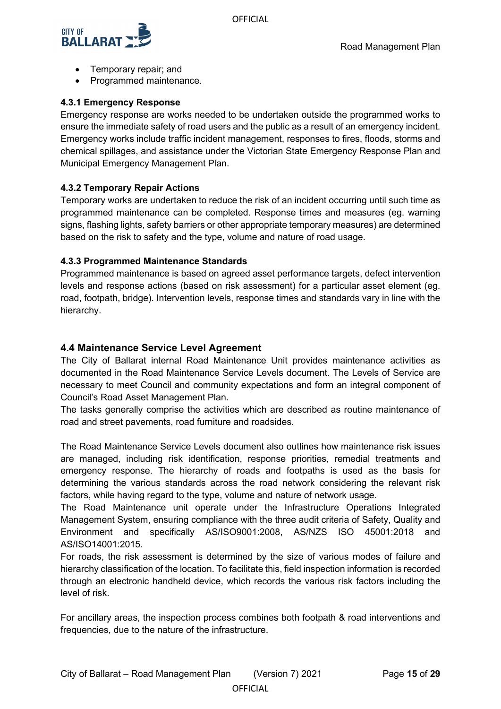

- Temporary repair; and
- Programmed maintenance.

# <span id="page-14-0"></span>**4.3.1 Emergency Response**

Emergency response are works needed to be undertaken outside the programmed works to ensure the immediate safety of road users and the public as a result of an emergency incident. Emergency works include traffic incident management, responses to fires, floods, storms and chemical spillages, and assistance under the Victorian State Emergency Response Plan and Municipal Emergency Management Plan.

# <span id="page-14-1"></span>**4.3.2 Temporary Repair Actions**

Temporary works are undertaken to reduce the risk of an incident occurring until such time as programmed maintenance can be completed. Response times and measures (eg. warning signs, flashing lights, safety barriers or other appropriate temporary measures) are determined based on the risk to safety and the type, volume and nature of road usage.

# <span id="page-14-2"></span>**4.3.3 Programmed Maintenance Standards**

Programmed maintenance is based on agreed asset performance targets, defect intervention levels and response actions (based on risk assessment) for a particular asset element (eg. road, footpath, bridge). Intervention levels, response times and standards vary in line with the hierarchy.

# <span id="page-14-3"></span>**4.4 Maintenance Service Level Agreement**

The City of Ballarat internal Road Maintenance Unit provides maintenance activities as documented in the Road Maintenance Service Levels document. The Levels of Service are necessary to meet Council and community expectations and form an integral component of Council's Road Asset Management Plan.

The tasks generally comprise the activities which are described as routine maintenance of road and street pavements, road furniture and roadsides.

The Road Maintenance Service Levels document also outlines how maintenance risk issues are managed, including risk identification, response priorities, remedial treatments and emergency response. The hierarchy of roads and footpaths is used as the basis for determining the various standards across the road network considering the relevant risk factors, while having regard to the type, volume and nature of network usage.

The Road Maintenance unit operate under the Infrastructure Operations Integrated Management System, ensuring compliance with the three audit criteria of Safety, Quality and Environment and specifically AS/ISO9001:2008, AS/NZS ISO 45001:2018 and AS/ISO14001:2015.

For roads, the risk assessment is determined by the size of various modes of failure and hierarchy classification of the location. To facilitate this, field inspection information is recorded through an electronic handheld device, which records the various risk factors including the level of risk.

For ancillary areas, the inspection process combines both footpath & road interventions and frequencies, due to the nature of the infrastructure.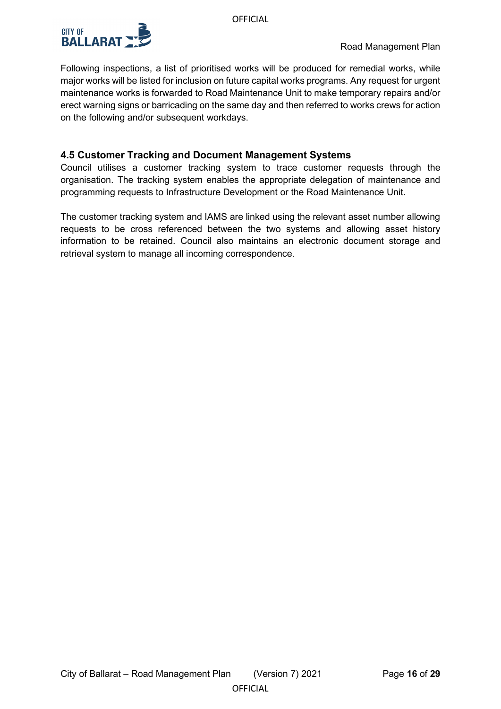

Following inspections, a list of prioritised works will be produced for remedial works, while major works will be listed for inclusion on future capital works programs. Any request for urgent maintenance works is forwarded to Road Maintenance Unit to make temporary repairs and/or erect warning signs or barricading on the same day and then referred to works crews for action on the following and/or subsequent workdays.

# <span id="page-15-0"></span>**4.5 Customer Tracking and Document Management Systems**

Council utilises a customer tracking system to trace customer requests through the organisation. The tracking system enables the appropriate delegation of maintenance and programming requests to Infrastructure Development or the Road Maintenance Unit.

The customer tracking system and IAMS are linked using the relevant asset number allowing requests to be cross referenced between the two systems and allowing asset history information to be retained. Council also maintains an electronic document storage and retrieval system to manage all incoming correspondence.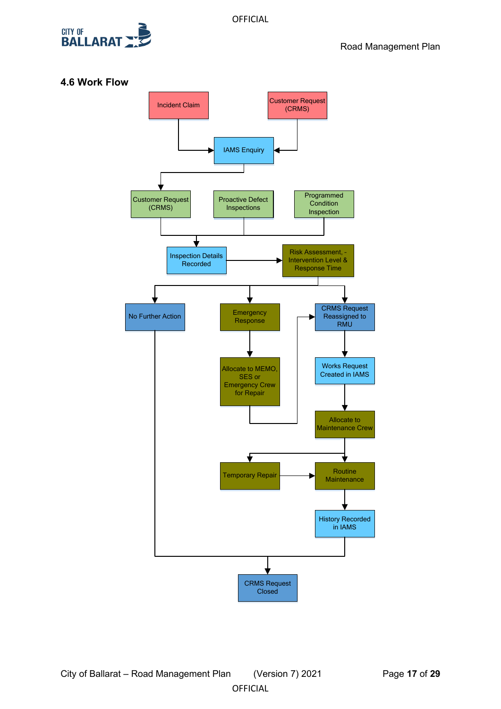

# <span id="page-16-0"></span>**4.6 Work Flow**

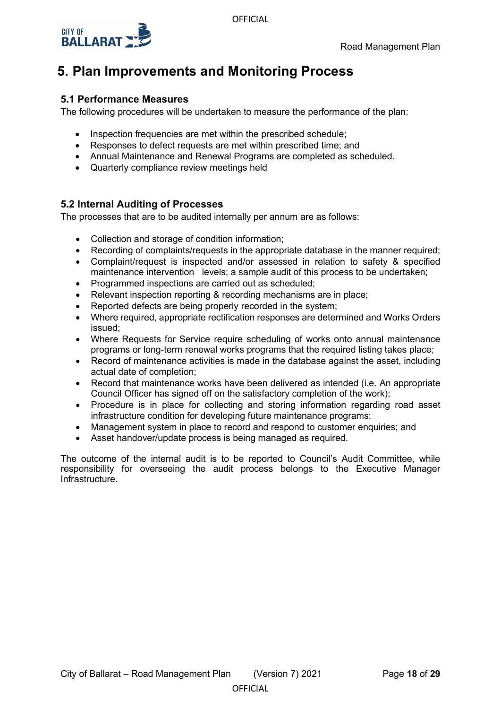



# <span id="page-17-0"></span>**5. Plan Improvements and Monitoring Process**

# <span id="page-17-1"></span>**5.1 Performance Measures**

The following procedures will be undertaken to measure the performance of the plan:

- Inspection frequencies are met within the prescribed schedule;
- Responses to defect requests are met within prescribed time; and
- Annual Maintenance and Renewal Programs are completed as scheduled.
- Quarterly compliance review meetings held

# <span id="page-17-2"></span>**5.2 Internal Auditing of Processes**

The processes that are to be audited internally per annum are as follows:

- Collection and storage of condition information;
- Recording of complaints/requests in the appropriate database in the manner required:
- Complaint/request is inspected and/or assessed in relation to safety & specified maintenance intervention levels; a sample audit of this process to be undertaken;
- Programmed inspections are carried out as scheduled;
- Relevant inspection reporting & recording mechanisms are in place;
- Reported defects are being properly recorded in the system;
- Where required, appropriate rectification responses are determined and Works Orders issued;
- Where Requests for Service require scheduling of works onto annual maintenance programs or long-term renewal works programs that the required listing takes place;
- Record of maintenance activities is made in the database against the asset, including actual date of completion;
- Record that maintenance works have been delivered as intended (i.e. An appropriate Council Officer has signed off on the satisfactory completion of the work);
- Procedure is in place for collecting and storing information regarding road asset infrastructure condition for developing future maintenance programs;
- Management system in place to record and respond to customer enquiries; and
- Asset handover/update process is being managed as required.

The outcome of the internal audit is to be reported to Council's Audit Committee, while responsibility for overseeing the audit process belongs to the Executive Manager Infrastructure.

**OFFICIAL**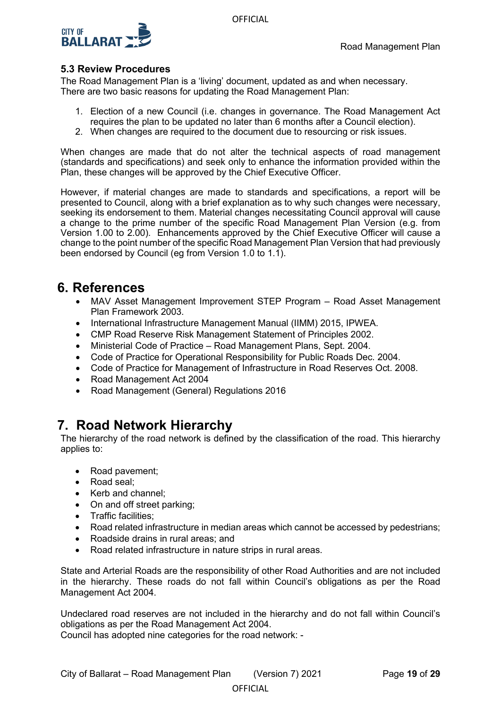

# <span id="page-18-0"></span>**5.3 Review Procedures**

The Road Management Plan is a 'living' document, updated as and when necessary. There are two basic reasons for updating the Road Management Plan:

- 1. Election of a new Council (i.e. changes in governance. The Road Management Act requires the plan to be updated no later than 6 months after a Council election).
- 2. When changes are required to the document due to resourcing or risk issues.

When changes are made that do not alter the technical aspects of road management (standards and specifications) and seek only to enhance the information provided within the Plan, these changes will be approved by the Chief Executive Officer.

However, if material changes are made to standards and specifications, a report will be presented to Council, along with a brief explanation as to why such changes were necessary, seeking its endorsement to them. Material changes necessitating Council approval will cause a change to the prime number of the specific Road Management Plan Version (e.g. from Version 1.00 to 2.00). Enhancements approved by the Chief Executive Officer will cause a change to the point number of the specific Road Management Plan Version that had previously been endorsed by Council (eg from Version 1.0 to 1.1).

# <span id="page-18-1"></span>**6. References**

- MAV Asset Management Improvement STEP Program Road Asset Management Plan Framework 2003.
- International Infrastructure Management Manual (IIMM) 2015, IPWEA.
- CMP Road Reserve Risk Management Statement of Principles 2002.
- Ministerial Code of Practice Road Management Plans, Sept. 2004.
- Code of Practice for Operational Responsibility for Public Roads Dec. 2004.
- Code of Practice for Management of Infrastructure in Road Reserves Oct. 2008.
- Road Management Act 2004
- Road Management (General) Regulations 2016

# <span id="page-18-2"></span>**7. Road Network Hierarchy**

The hierarchy of the road network is defined by the classification of the road. This hierarchy applies to:

- Road pavement;
- Road seal;
- Kerb and channel:
- On and off street parking;
- Traffic facilities;
- Road related infrastructure in median areas which cannot be accessed by pedestrians;
- Roadside drains in rural areas; and
- Road related infrastructure in nature strips in rural areas.

State and Arterial Roads are the responsibility of other Road Authorities and are not included in the hierarchy. These roads do not fall within Council's obligations as per the Road Management Act 2004.

Undeclared road reserves are not included in the hierarchy and do not fall within Council's obligations as per the Road Management Act 2004.

Council has adopted nine categories for the road network: -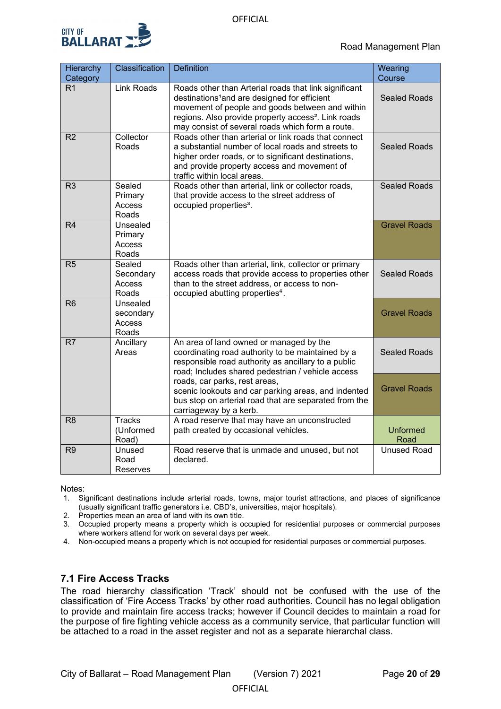

| Hierarchy<br>Category | Classification                           | <b>Definition</b>                                                                                                                                                                                                                                                                           | Wearing<br>Course       |
|-----------------------|------------------------------------------|---------------------------------------------------------------------------------------------------------------------------------------------------------------------------------------------------------------------------------------------------------------------------------------------|-------------------------|
| R1                    | <b>Link Roads</b>                        | Roads other than Arterial roads that link significant<br>destinations <sup>1</sup> and are designed for efficient<br>movement of people and goods between and within<br>regions. Also provide property access <sup>2</sup> . Link roads<br>may consist of several roads which form a route. | <b>Sealed Roads</b>     |
| R <sub>2</sub>        | Collector<br>Roads                       | Roads other than arterial or link roads that connect<br>a substantial number of local roads and streets to<br>higher order roads, or to significant destinations,<br>and provide property access and movement of<br>traffic within local areas.                                             | <b>Sealed Roads</b>     |
| R <sub>3</sub>        | Sealed<br>Primary<br>Access<br>Roads     | Roads other than arterial, link or collector roads,<br>that provide access to the street address of<br>occupied properties <sup>3</sup> .                                                                                                                                                   | <b>Sealed Roads</b>     |
| R4                    | Unsealed<br>Primary<br>Access<br>Roads   |                                                                                                                                                                                                                                                                                             | <b>Gravel Roads</b>     |
| R5                    | Sealed<br>Secondary<br>Access<br>Roads   | Roads other than arterial, link, collector or primary<br>access roads that provide access to properties other<br>than to the street address, or access to non-<br>occupied abutting properties <sup>4</sup> .                                                                               | <b>Sealed Roads</b>     |
| R <sub>6</sub>        | Unsealed<br>secondary<br>Access<br>Roads |                                                                                                                                                                                                                                                                                             | <b>Gravel Roads</b>     |
| R <sub>7</sub>        | Ancillary<br>Areas                       | An area of land owned or managed by the<br>coordinating road authority to be maintained by a<br>responsible road authority as ancillary to a public<br>road; Includes shared pedestrian / vehicle access                                                                                    | <b>Sealed Roads</b>     |
|                       |                                          | roads, car parks, rest areas,<br>scenic lookouts and car parking areas, and indented<br>bus stop on arterial road that are separated from the<br>carriageway by a kerb.                                                                                                                     | <b>Gravel Roads</b>     |
| R <sub>8</sub>        | <b>Tracks</b><br>(Unformed<br>Road)      | A road reserve that may have an unconstructed<br>path created by occasional vehicles.                                                                                                                                                                                                       | <b>Unformed</b><br>Road |
| R <sub>9</sub>        | Unused<br>Road<br>Reserves               | Road reserve that is unmade and unused, but not<br>declared.                                                                                                                                                                                                                                | <b>Unused Road</b>      |

Notes:

- 1. Significant destinations include arterial roads, towns, major tourist attractions, and places of significance (usually significant traffic generators i.e. CBD's, universities, major hospitals).
- 2. Properties mean an area of land with its own title.
- 3. Occupied property means a property which is occupied for residential purposes or commercial purposes where workers attend for work on several days per week.
- 4. Non-occupied means a property which is not occupied for residential purposes or commercial purposes.

# <span id="page-19-0"></span>**7.1 Fire Access Tracks**

The road hierarchy classification 'Track' should not be confused with the use of the classification of 'Fire Access Tracks' by other road authorities. Council has no legal obligation to provide and maintain fire access tracks; however if Council decides to maintain a road for the purpose of fire fighting vehicle access as a community service, that particular function will be attached to a road in the asset register and not as a separate hierarchal class.

**OFFICIAL**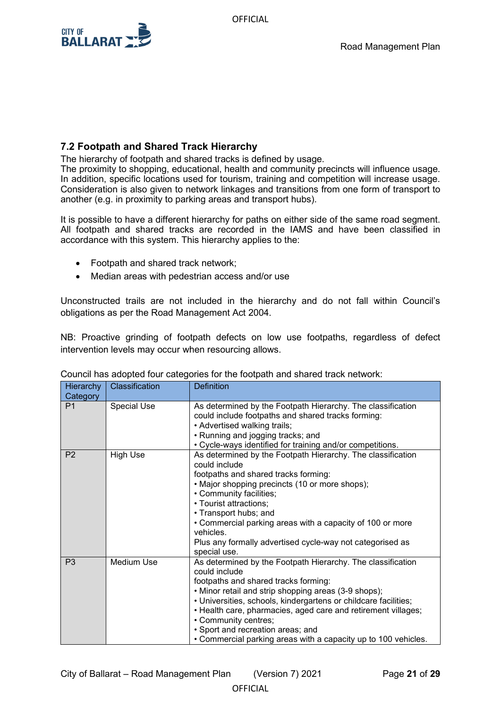**OFFICIAL** 



# <span id="page-20-0"></span>**7.2 Footpath and Shared Track Hierarchy**

The hierarchy of footpath and shared tracks is defined by usage.

The proximity to shopping, educational, health and community precincts will influence usage. In addition, specific locations used for tourism, training and competition will increase usage. Consideration is also given to network linkages and transitions from one form of transport to another (e.g. in proximity to parking areas and transport hubs).

It is possible to have a different hierarchy for paths on either side of the same road segment. All footpath and shared tracks are recorded in the IAMS and have been classified in accordance with this system. This hierarchy applies to the:

- Footpath and shared track network;
- Median areas with pedestrian access and/or use

Unconstructed trails are not included in the hierarchy and do not fall within Council's obligations as per the Road Management Act 2004.

NB: Proactive grinding of footpath defects on low use footpaths, regardless of defect intervention levels may occur when resourcing allows.

| Hierarchy                  | Classification     | <b>Definition</b>                                                                                                                                                                                                                                                                                                                                                                                                                               |
|----------------------------|--------------------|-------------------------------------------------------------------------------------------------------------------------------------------------------------------------------------------------------------------------------------------------------------------------------------------------------------------------------------------------------------------------------------------------------------------------------------------------|
| Category<br>P <sub>1</sub> | <b>Special Use</b> | As determined by the Footpath Hierarchy. The classification<br>could include footpaths and shared tracks forming:<br>• Advertised walking trails;<br>• Running and jogging tracks; and<br>• Cycle-ways identified for training and/or competitions.                                                                                                                                                                                             |
| P <sub>2</sub>             | <b>High Use</b>    | As determined by the Footpath Hierarchy. The classification<br>could include<br>footpaths and shared tracks forming:<br>• Major shopping precincts (10 or more shops);<br>• Community facilities;<br>• Tourist attractions;<br>• Transport hubs; and<br>• Commercial parking areas with a capacity of 100 or more<br>vehicles.<br>Plus any formally advertised cycle-way not categorised as<br>special use.                                     |
| P <sub>3</sub>             | Medium Use         | As determined by the Footpath Hierarchy. The classification<br>could include<br>footpaths and shared tracks forming:<br>• Minor retail and strip shopping areas (3-9 shops);<br>• Universities, schools, kindergartens or childcare facilities;<br>• Health care, pharmacies, aged care and retirement villages;<br>• Community centres;<br>· Sport and recreation areas; and<br>• Commercial parking areas with a capacity up to 100 vehicles. |

|  | Council has adopted four categories for the footpath and shared track network: |  |  |
|--|--------------------------------------------------------------------------------|--|--|
|  |                                                                                |  |  |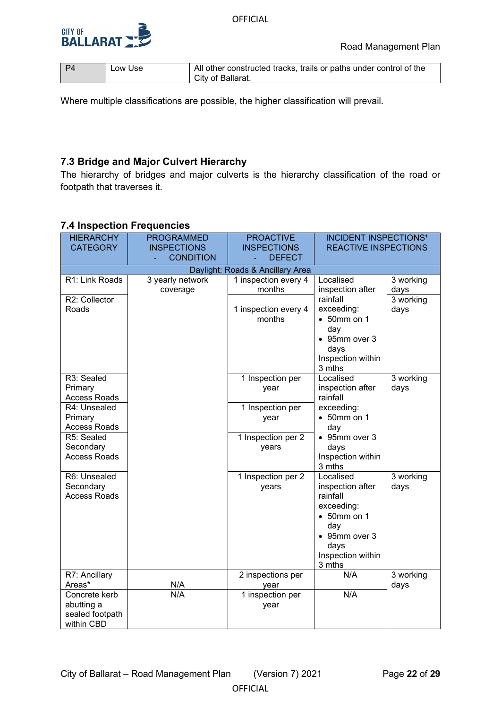



| l P4 | Low Use | All other constructed tracks, trails or paths under control of the |
|------|---------|--------------------------------------------------------------------|
|      |         | City of Ballarat.                                                  |

Where multiple classifications are possible, the higher classification will prevail.

# <span id="page-21-0"></span>**7.3 Bridge and Major Culvert Hierarchy**

The hierarchy of bridges and major culverts is the hierarchy classification of the road or footpath that traverses it.

# <span id="page-21-1"></span>**7.4 Inspection Frequencies**

| <b>HIERARCHY</b>                 | <b>PROGRAMMED</b>  | <b>PROACTIVE</b>                 | <b>INCIDENT INSPECTIONS<sup>1</sup></b> |             |  |
|----------------------------------|--------------------|----------------------------------|-----------------------------------------|-------------|--|
| <b>CATEGORY</b>                  | <b>INSPECTIONS</b> | <b>INSPECTIONS</b>               | <b>REACTIVE INSPECTIONS</b>             |             |  |
|                                  | <b>CONDITION</b>   | <b>DEFECT</b>                    |                                         |             |  |
|                                  |                    | Daylight: Roads & Ancillary Area |                                         |             |  |
| R1: Link Roads                   | 3 yearly network   | 1 inspection every 4             | Localised                               | 3 working   |  |
|                                  | coverage           | months                           | inspection after                        | days        |  |
| R2: Collector                    |                    |                                  | rainfall                                | 3 working   |  |
| Roads                            |                    | 1 inspection every 4             | exceeding:                              | days        |  |
|                                  |                    | months                           | $\bullet$ 50mm on 1                     |             |  |
|                                  |                    |                                  | day                                     |             |  |
|                                  |                    |                                  | • 95mm over 3                           |             |  |
|                                  |                    |                                  | days                                    |             |  |
|                                  |                    |                                  | Inspection within<br>3 mths             |             |  |
| R3: Sealed                       |                    | 1 Inspection per                 | Localised                               | 3 working   |  |
| Primary                          |                    | year                             | inspection after                        | days        |  |
| <b>Access Roads</b>              |                    |                                  | rainfall                                |             |  |
| R4: Unsealed                     |                    | 1 Inspection per                 | exceeding:                              |             |  |
| Primary                          |                    | year                             | $\bullet$ 50mm on 1                     |             |  |
| Access Roads                     |                    |                                  | day                                     |             |  |
| R5: Sealed                       |                    | 1 Inspection per 2               | • 95mm over 3                           |             |  |
| Secondary                        |                    | years                            | days                                    |             |  |
| <b>Access Roads</b>              |                    |                                  | Inspection within                       |             |  |
|                                  |                    |                                  | 3 mths                                  |             |  |
| R6: Unsealed                     |                    | 1 Inspection per 2               | Localised                               | $3$ working |  |
| Secondary<br><b>Access Roads</b> |                    | years                            | inspection after<br>rainfall            | days        |  |
|                                  |                    |                                  | exceeding:                              |             |  |
|                                  |                    |                                  | $\bullet$ 50mm on 1                     |             |  |
|                                  |                    |                                  | day                                     |             |  |
|                                  |                    |                                  | • 95mm over 3                           |             |  |
|                                  |                    |                                  | days                                    |             |  |
|                                  |                    |                                  | Inspection within                       |             |  |
|                                  |                    |                                  | 3 mths                                  |             |  |
| R7: Ancillary                    |                    | 2 inspections per                | N/A                                     | 3 working   |  |
| Areas*                           | N/A                | year                             |                                         | days        |  |
| Concrete kerb                    | N/A                | 1 inspection per                 | N/A                                     |             |  |
| abutting a                       |                    | year                             |                                         |             |  |
| sealed footpath                  |                    |                                  |                                         |             |  |
| within CBD                       |                    |                                  |                                         |             |  |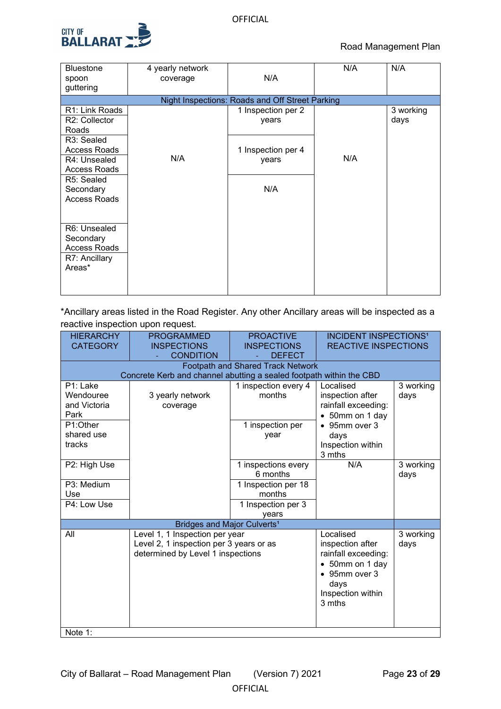

| <b>Bluestone</b>        | 4 yearly network |                                                 | N/A | N/A       |
|-------------------------|------------------|-------------------------------------------------|-----|-----------|
| spoon                   | coverage         | N/A                                             |     |           |
| guttering               |                  |                                                 |     |           |
|                         |                  | Night Inspections: Roads and Off Street Parking |     |           |
| R1: Link Roads          |                  | 1 Inspection per 2                              |     | 3 working |
| R2: Collector           |                  | years                                           |     | days      |
| Roads                   |                  |                                                 |     |           |
| R <sub>3</sub> : Sealed |                  |                                                 |     |           |
| <b>Access Roads</b>     |                  | 1 Inspection per 4                              |     |           |
| R4: Unsealed            | N/A              | years                                           | N/A |           |
| <b>Access Roads</b>     |                  |                                                 |     |           |
| R5: Sealed              |                  |                                                 |     |           |
| Secondary               |                  | N/A                                             |     |           |
| <b>Access Roads</b>     |                  |                                                 |     |           |
|                         |                  |                                                 |     |           |
|                         |                  |                                                 |     |           |
| R6: Unsealed            |                  |                                                 |     |           |
| Secondary               |                  |                                                 |     |           |
| <b>Access Roads</b>     |                  |                                                 |     |           |
| R7: Ancillary           |                  |                                                 |     |           |
| Areas*                  |                  |                                                 |     |           |
|                         |                  |                                                 |     |           |
|                         |                  |                                                 |     |           |

\*Ancillary areas listed in the Road Register. Any other Ancillary areas will be inspected as a reactive inspection upon request.

| <b>HIERARCHY</b><br><b>PROGRAMMED</b><br><b>CATEGORY</b><br><b>INSPECTIONS</b><br><b>CONDITION</b> |                                                                     | <b>PROACTIVE</b><br><b>INSPECTIONS</b><br><b>DEFECT</b> | <b>INCIDENT INSPECTIONS<sup>1</sup></b><br><b>REACTIVE INSPECTIONS</b> |           |  |  |  |  |
|----------------------------------------------------------------------------------------------------|---------------------------------------------------------------------|---------------------------------------------------------|------------------------------------------------------------------------|-----------|--|--|--|--|
|                                                                                                    | <b>Footpath and Shared Track Network</b>                            |                                                         |                                                                        |           |  |  |  |  |
|                                                                                                    | Concrete Kerb and channel abutting a sealed footpath within the CBD |                                                         |                                                                        |           |  |  |  |  |
| P1: Lake                                                                                           |                                                                     | 1 inspection every 4                                    | Localised                                                              | 3 working |  |  |  |  |
| Wendouree                                                                                          | 3 yearly network                                                    | months                                                  | inspection after                                                       | days      |  |  |  |  |
| and Victoria                                                                                       | coverage                                                            |                                                         | rainfall exceeding:                                                    |           |  |  |  |  |
| Park                                                                                               |                                                                     |                                                         | 50mm on 1 day                                                          |           |  |  |  |  |
| P1:Other                                                                                           |                                                                     | 1 inspection per                                        | 95mm over 3<br>$\bullet$                                               |           |  |  |  |  |
| shared use                                                                                         |                                                                     | year                                                    | days                                                                   |           |  |  |  |  |
| tracks                                                                                             |                                                                     |                                                         | Inspection within                                                      |           |  |  |  |  |
|                                                                                                    |                                                                     |                                                         | 3 mths                                                                 | 3 working |  |  |  |  |
| P2: High Use                                                                                       |                                                                     | 1 inspections every                                     | N/A                                                                    |           |  |  |  |  |
|                                                                                                    |                                                                     | 6 months                                                |                                                                        | days      |  |  |  |  |
| P3: Medium                                                                                         |                                                                     | 1 Inspection per 18                                     |                                                                        |           |  |  |  |  |
| Use                                                                                                |                                                                     | months                                                  |                                                                        |           |  |  |  |  |
| P4: Low Use                                                                                        |                                                                     | 1 Inspection per 3                                      |                                                                        |           |  |  |  |  |
|                                                                                                    |                                                                     | years                                                   |                                                                        |           |  |  |  |  |
|                                                                                                    | Bridges and Major Culverts <sup>1</sup>                             |                                                         |                                                                        |           |  |  |  |  |
| All                                                                                                | Level 1, 1 Inspection per year                                      |                                                         | Localised                                                              | 3 working |  |  |  |  |
|                                                                                                    | Level 2, 1 inspection per 3 years or as                             |                                                         | inspection after                                                       | days      |  |  |  |  |
|                                                                                                    | determined by Level 1 inspections                                   |                                                         | rainfall exceeding:                                                    |           |  |  |  |  |
|                                                                                                    |                                                                     |                                                         | 50mm on 1 day                                                          |           |  |  |  |  |
|                                                                                                    |                                                                     |                                                         | 95mm over 3<br>$\bullet$                                               |           |  |  |  |  |
|                                                                                                    |                                                                     |                                                         | days                                                                   |           |  |  |  |  |
|                                                                                                    |                                                                     |                                                         | Inspection within                                                      |           |  |  |  |  |
|                                                                                                    |                                                                     |                                                         | 3 mths                                                                 |           |  |  |  |  |
|                                                                                                    |                                                                     |                                                         |                                                                        |           |  |  |  |  |
|                                                                                                    |                                                                     |                                                         |                                                                        |           |  |  |  |  |
| Note 1:                                                                                            |                                                                     |                                                         |                                                                        |           |  |  |  |  |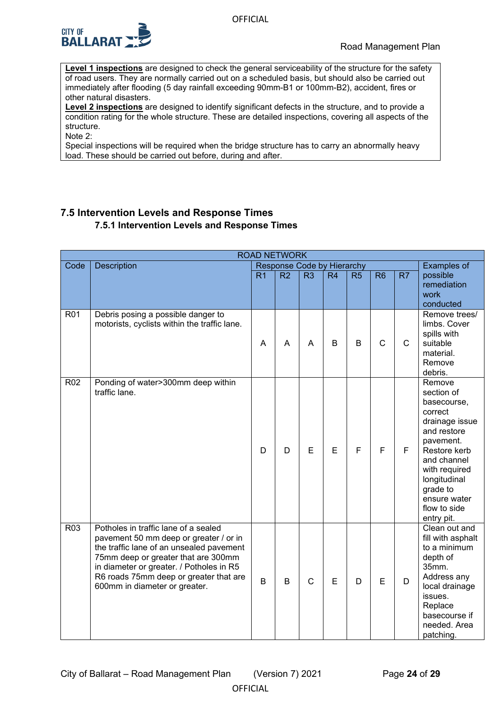

**Level 1 inspections** are designed to check the general serviceability of the structure for the safety of road users. They are normally carried out on a scheduled basis, but should also be carried out immediately after flooding (5 day rainfall exceeding 90mm-B1 or 100mm-B2), accident, fires or other natural disasters.

**Level 2 inspections** are designed to identify significant defects in the structure, and to provide a condition rating for the whole structure. These are detailed inspections, covering all aspects of the structure.

Note 2:

<span id="page-23-0"></span>Special inspections will be required when the bridge structure has to carry an abnormally heavy load. These should be carried out before, during and after.

# <span id="page-23-1"></span>**7.5 Intervention Levels and Response Times 7.5.1 Intervention Levels and Response Times**

|                 | <b>ROAD NETWORK</b>                                                                                                                                                                                                                                                                      |                |                |                            |             |    |              |                |                                                                                                                                                                                                                        |
|-----------------|------------------------------------------------------------------------------------------------------------------------------------------------------------------------------------------------------------------------------------------------------------------------------------------|----------------|----------------|----------------------------|-------------|----|--------------|----------------|------------------------------------------------------------------------------------------------------------------------------------------------------------------------------------------------------------------------|
| Code            | Description                                                                                                                                                                                                                                                                              |                |                | Response Code by Hierarchy |             |    |              |                | <b>Examples of</b>                                                                                                                                                                                                     |
|                 |                                                                                                                                                                                                                                                                                          | R <sub>1</sub> | R <sub>2</sub> | R <sub>3</sub>             | R4          | R5 | R6           | R <sub>7</sub> | possible<br>remediation<br>work<br>conducted                                                                                                                                                                           |
| R <sub>01</sub> | Debris posing a possible danger to<br>motorists, cyclists within the traffic lane.                                                                                                                                                                                                       | A              | A              | A                          | $\mathsf B$ | B  | $\mathsf{C}$ | $\mathsf{C}$   | Remove trees/<br>limbs. Cover<br>spills with<br>suitable<br>material.<br>Remove<br>debris.                                                                                                                             |
| R <sub>02</sub> | Ponding of water>300mm deep within<br>traffic lane.                                                                                                                                                                                                                                      | D              | D              | E                          | E           | F  | F            | F              | Remove<br>section of<br>basecourse,<br>correct<br>drainage issue<br>and restore<br>pavement.<br>Restore kerb<br>and channel<br>with required<br>longitudinal<br>grade to<br>ensure water<br>flow to side<br>entry pit. |
| R <sub>03</sub> | Potholes in traffic lane of a sealed<br>pavement 50 mm deep or greater / or in<br>the traffic lane of an unsealed pavement<br>75mm deep or greater that are 300mm<br>in diameter or greater. / Potholes in R5<br>R6 roads 75mm deep or greater that are<br>600mm in diameter or greater. | B              | B              | $\mathsf{C}$               | E           | D  | Е            | D              | Clean out and<br>fill with asphalt<br>to a minimum<br>depth of<br>35mm.<br>Address any<br>local drainage<br>issues.<br>Replace<br>basecourse if<br>needed. Area<br>patching.                                           |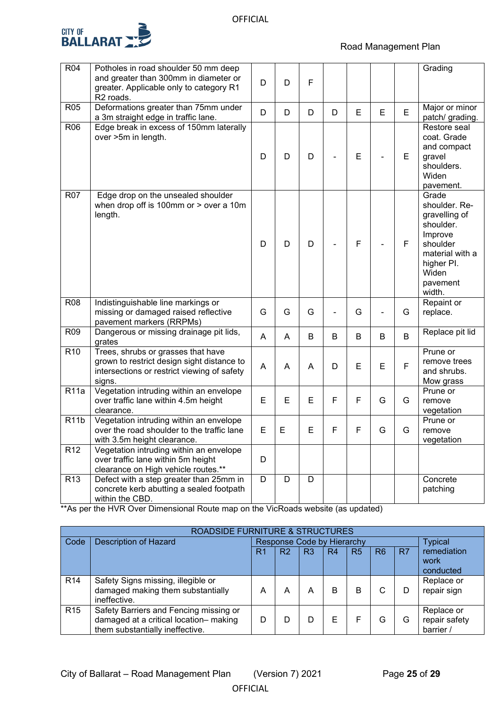

# Road Management Plan

| R04               | Potholes in road shoulder 50 mm deep<br>and greater than 300mm in diameter or<br>greater. Applicable only to category R1<br>R <sub>2</sub> roads. | D | D | F |                          |              |   |   | Grading                                                                                                                                     |
|-------------------|---------------------------------------------------------------------------------------------------------------------------------------------------|---|---|---|--------------------------|--------------|---|---|---------------------------------------------------------------------------------------------------------------------------------------------|
| R <sub>05</sub>   | Deformations greater than 75mm under<br>a 3m straight edge in traffic lane.                                                                       | D | D | D | D                        | E            | E | E | Major or minor<br>patch/ grading.                                                                                                           |
| R06               | Edge break in excess of 150mm laterally<br>over >5m in length.                                                                                    | D | D | D |                          | E            |   | E | Restore seal<br>coat. Grade<br>and compact<br>gravel<br>shoulders.<br>Widen<br>pavement.                                                    |
| <b>R07</b>        | Edge drop on the unsealed shoulder<br>when drop off is 100mm or $>$ over a 10m<br>length.                                                         | D | D | D |                          | $\mathsf{F}$ |   | F | Grade<br>shoulder. Re-<br>gravelling of<br>shoulder.<br>Improve<br>shoulder<br>material with a<br>higher PI.<br>Widen<br>pavement<br>width. |
| <b>R08</b>        | Indistinguishable line markings or<br>missing or damaged raised reflective<br>pavement markers (RRPMs)                                            | G | G | G | $\overline{\phantom{a}}$ | G            |   | G | Repaint or<br>replace.                                                                                                                      |
| R <sub>09</sub>   | Dangerous or missing drainage pit lids,<br>grates                                                                                                 | A | A | B | B                        | B            | B | B | Replace pit lid                                                                                                                             |
| R <sub>10</sub>   | Trees, shrubs or grasses that have<br>grown to restrict design sight distance to<br>intersections or restrict viewing of safety<br>signs.         | A | A | A | D                        | E            | E | F | Prune or<br>remove trees<br>and shrubs.<br>Mow grass                                                                                        |
| R11a              | Vegetation intruding within an envelope<br>over traffic lane within 4.5m height<br>clearance.                                                     | E | E | E | F                        | $\mathsf F$  | G | G | Prune or<br>remove<br>vegetation                                                                                                            |
| R <sub>11</sub> b | Vegetation intruding within an envelope<br>over the road shoulder to the traffic lane<br>with 3.5m height clearance.                              | E | E | Е | F                        | F            | G | G | Prune or<br>remove<br>vegetation                                                                                                            |
| R <sub>12</sub>   | Vegetation intruding within an envelope<br>over traffic lane within 5m height<br>clearance on High vehicle routes.**                              | D |   |   |                          |              |   |   |                                                                                                                                             |
| R <sub>13</sub>   | Defect with a step greater than 25mm in<br>concrete kerb abutting a sealed footpath<br>within the CBD.                                            | D | D | D |                          |              |   |   | Concrete<br>patching                                                                                                                        |

\*\*As per the HVR Over Dimensional Route map on the VicRoads website (as updated)

| <b>ROADSIDE FURNITURE &amp; STRUCTURES</b> |                                                                                                                                                                                               |    |    |                |                |                |                |    |                                  |
|--------------------------------------------|-----------------------------------------------------------------------------------------------------------------------------------------------------------------------------------------------|----|----|----------------|----------------|----------------|----------------|----|----------------------------------|
| Code                                       | <b>Description of Hazard</b><br>Response Code by Hierarchy                                                                                                                                    |    |    | <b>Typical</b> |                |                |                |    |                                  |
|                                            |                                                                                                                                                                                               | R1 | R2 | R <sub>3</sub> | R <sub>4</sub> | R <sub>5</sub> | R <sub>6</sub> | R7 | remediation<br>work<br>conducted |
| R <sub>14</sub>                            | Safety Signs missing, illegible or<br>damaged making them substantially<br>ineffective.                                                                                                       | A  | А  | А              | в              | в              |                |    | Replace or<br>repair sign        |
| R <sub>15</sub>                            | Safety Barriers and Fencing missing or<br>Replace or<br>damaged at a critical location- making<br>repair safety<br>E<br>F<br>D<br>G<br>G<br>D<br>them substantially ineffective.<br>barrier / |    |    |                |                |                |                |    |                                  |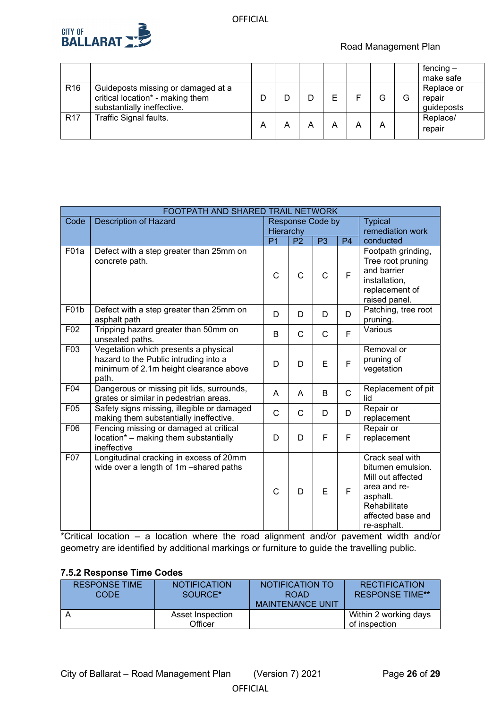

Road Management Plan

|                 |                                                                                                      |   |  |   |   |   |   | fencing $-$<br>make safe           |
|-----------------|------------------------------------------------------------------------------------------------------|---|--|---|---|---|---|------------------------------------|
| R <sub>16</sub> | Guideposts missing or damaged at a<br>critical location* - making them<br>substantially ineffective. |   |  | F |   |   | G | Replace or<br>repair<br>guideposts |
| R <sub>17</sub> | Traffic Signal faults.                                                                               | А |  | А | А | А |   | Replace/<br>repair                 |

| FOOTPATH AND SHARED TRAIL NETWORK |                                                                                                                                  |                         |                |                |                  |                                                                                                                                           |  |
|-----------------------------------|----------------------------------------------------------------------------------------------------------------------------------|-------------------------|----------------|----------------|------------------|-------------------------------------------------------------------------------------------------------------------------------------------|--|
| Code                              | <b>Description of Hazard</b>                                                                                                     | <b>Response Code by</b> |                |                | <b>Typical</b>   |                                                                                                                                           |  |
|                                   |                                                                                                                                  | Hierarchy               |                |                | remediation work |                                                                                                                                           |  |
|                                   |                                                                                                                                  | $\overline{P1}$         | P <sub>2</sub> | P <sub>3</sub> | $\overline{P4}$  | conducted                                                                                                                                 |  |
| F <sub>01</sub> a                 | Defect with a step greater than 25mm on<br>concrete path.                                                                        | $\mathsf{C}$            | C              | $\mathsf{C}$   | F                | Footpath grinding,<br>Tree root pruning<br>and barrier<br>installation,<br>replacement of<br>raised panel.                                |  |
| F01b                              | Defect with a step greater than 25mm on<br>asphalt path                                                                          | D                       | D              | D              | D                | Patching, tree root<br>pruning.                                                                                                           |  |
| F02                               | Tripping hazard greater than 50mm on<br>unsealed paths.                                                                          | B                       | $\mathsf{C}$   | C              | F                | Various                                                                                                                                   |  |
| F03                               | Vegetation which presents a physical<br>hazard to the Public intruding into a<br>minimum of 2.1m height clearance above<br>path. | D                       | D              | E              | F                | Removal or<br>pruning of<br>vegetation                                                                                                    |  |
| F04                               | Dangerous or missing pit lids, surrounds,<br>grates or similar in pedestrian areas.                                              | A                       | A              | B              | $\mathsf{C}$     | Replacement of pit<br>lid                                                                                                                 |  |
| F05                               | Safety signs missing, illegible or damaged<br>making them substantially ineffective.                                             | C                       | $\mathsf{C}$   | D              | D                | Repair or<br>replacement                                                                                                                  |  |
| F06                               | Fencing missing or damaged at critical<br>location* - making them substantially<br>ineffective                                   | D                       | D              | F              | F                | Repair or<br>replacement                                                                                                                  |  |
| F07                               | Longitudinal cracking in excess of 20mm<br>wide over a length of 1m -shared paths                                                | $\mathsf{C}$            | D              | E              | F                | Crack seal with<br>bitumen emulsion.<br>Mill out affected<br>area and re-<br>asphalt.<br>Rehabilitate<br>affected base and<br>re-asphalt. |  |

\*Critical location – a location where the road alignment and/or pavement width and/or geometry are identified by additional markings or furniture to guide the travelling public.

# <span id="page-25-0"></span>**7.5.2 Response Time Codes**

| <b>RESPONSE TIME</b><br>CODE | <b>NOTIFICATION</b><br>SOURCE* | NOTIFICATION TO<br><b>ROAD</b><br><b>MAINTENANCE UNIT</b> | <b>RECTIFICATION</b><br><b>RESPONSE TIME**</b> |
|------------------------------|--------------------------------|-----------------------------------------------------------|------------------------------------------------|
|                              | Asset Inspection<br>Officer    |                                                           | Within 2 working days<br>of inspection         |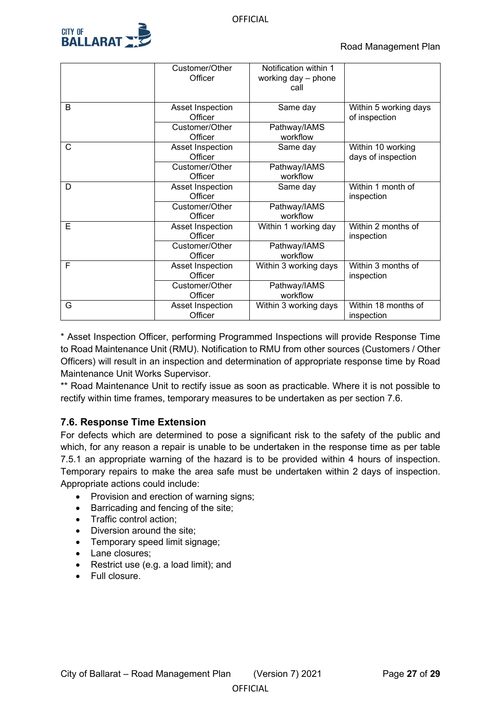

|   | Customer/Other<br>Officer                     | Notification within 1<br>working day - phone<br>call |                                         |  |
|---|-----------------------------------------------|------------------------------------------------------|-----------------------------------------|--|
| B | Asset Inspection<br>Officer<br>Customer/Other | Same day<br>Pathway/IAMS                             | Within 5 working days<br>of inspection  |  |
|   | Officer                                       | workflow                                             |                                         |  |
| С | Asset Inspection<br>Officer                   | Same day                                             | Within 10 working<br>days of inspection |  |
|   | Customer/Other<br>Officer                     | Pathway/IAMS<br>workflow                             |                                         |  |
| D | Asset Inspection<br>Officer                   | Same day                                             |                                         |  |
|   | Customer/Other<br>Officer                     | Pathway/IAMS<br>workflow                             |                                         |  |
| Ē | Asset Inspection<br>Officer                   | Within 1 working day                                 | Within 2 months of<br>inspection        |  |
|   | Customer/Other<br>Officer                     | Pathway/IAMS<br>workflow                             |                                         |  |
| F | Asset Inspection<br>Officer                   | Within 3 working days                                | Within 3 months of<br>inspection        |  |
|   | Customer/Other<br>Officer                     | Pathway/IAMS<br>workflow                             |                                         |  |
| G | Asset Inspection<br>Officer                   | Within 3 working days                                | Within 18 months of<br>inspection       |  |

\* Asset Inspection Officer, performing Programmed Inspections will provide Response Time to Road Maintenance Unit (RMU). Notification to RMU from other sources (Customers / Other Officers) will result in an inspection and determination of appropriate response time by Road Maintenance Unit Works Supervisor.

\*\* Road Maintenance Unit to rectify issue as soon as practicable. Where it is not possible to rectify within time frames, temporary measures to be undertaken as per section 7.6.

# <span id="page-26-0"></span>**7.6. Response Time Extension**

For defects which are determined to pose a significant risk to the safety of the public and which, for any reason a repair is unable to be undertaken in the response time as per table 7.5.1 an appropriate warning of the hazard is to be provided within 4 hours of inspection. Temporary repairs to make the area safe must be undertaken within 2 days of inspection. Appropriate actions could include:

**OFFICIAL** 

- Provision and erection of warning signs;
- Barricading and fencing of the site;
- Traffic control action;
- Diversion around the site:
- Temporary speed limit signage;
- Lane closures:
- Restrict use (e.g. a load limit); and
- Full closure.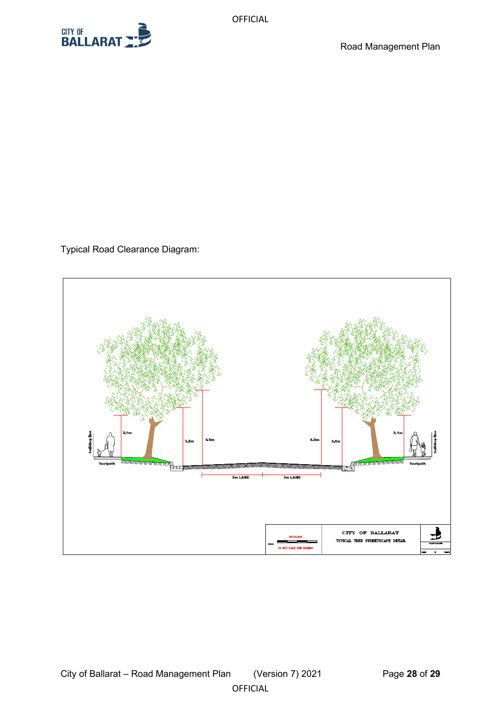

Typical Road Clearance Diagram: